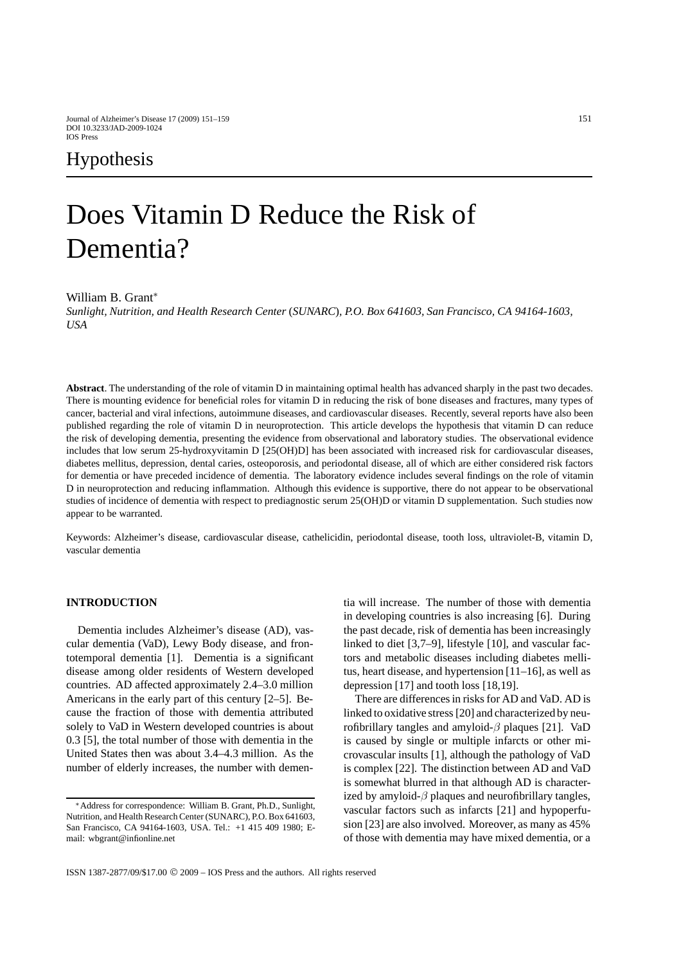# Does Vitamin D Reduce the Risk of Dementia?

#### William B. Grant<sup>\*</sup>

*Sunlight, Nutrition, and Health Research Center* (*SUNARC*)*, P.O. Box 641603, San Francisco, CA 94164-1603, USA*

**Abstract**. The understanding of the role of vitamin D in maintaining optimal health has advanced sharply in the past two decades. There is mounting evidence for beneficial roles for vitamin D in reducing the risk of bone diseases and fractures, many types of cancer, bacterial and viral infections, autoimmune diseases, and cardiovascular diseases. Recently, several reports have also been published regarding the role of vitamin D in neuroprotection. This article develops the hypothesis that vitamin D can reduce the risk of developing dementia, presenting the evidence from observational and laboratory studies. The observational evidence includes that low serum 25-hydroxyvitamin D [25(OH)D] has been associated with increased risk for cardiovascular diseases, diabetes mellitus, depression, dental caries, osteoporosis, and periodontal disease, all of which are either considered risk factors for dementia or have preceded incidence of dementia. The laboratory evidence includes several findings on the role of vitamin D in neuroprotection and reducing inflammation. Although this evidence is supportive, there do not appear to be observational studies of incidence of dementia with respect to prediagnostic serum 25(OH)D or vitamin D supplementation. Such studies now appear to be warranted.

Keywords: Alzheimer's disease, cardiovascular disease, cathelicidin, periodontal disease, tooth loss, ultraviolet-B, vitamin D, vascular dementia

# **INTRODUCTION**

Dementia includes Alzheimer's disease (AD), vascular dementia (VaD), Lewy Body disease, and frontotemporal dementia [1]. Dementia is a significant disease among older residents of Western developed countries. AD affected approximately 2.4–3.0 million Americans in the early part of this century [2–5]. Because the fraction of those with dementia attributed solely to VaD in Western developed countries is about 0.3 [5], the total number of those with dementia in the United States then was about 3.4–4.3 million. As the number of elderly increases, the number with dementia will increase. The number of those with dementia in developing countries is also increasing [6]. During the past decade, risk of dementia has been increasingly linked to diet [3,7–9], lifestyle [10], and vascular factors and metabolic diseases including diabetes mellitus, heart disease, and hypertension [11–16], as well as depression [17] and tooth loss [18,19].

There are differences in risks for AD and VaD. AD is linked to oxidative stress [20] and characterized by neurofibrillary tangles and amyloid- $\beta$  plaques [21]. VaD is caused by single or multiple infarcts or other microvascular insults [1], although the pathology of VaD is complex [22]. The distinction between AD and VaD is somewhat blurred in that although AD is characterized by amyloid- $\beta$  plaques and neurofibrillary tangles, vascular factors such as infarcts [21] and hypoperfusion [23] are also involved. Moreover, as many as 45% of those with dementia may have mixed dementia, or a

<sup>∗</sup>Address for correspondence: William B. Grant, Ph.D., Sunlight, Nutrition, and Health Research Center (SUNARC), P.O. Box 641603, San Francisco, CA 94164-1603, USA. Tel.: +1 415 409 1980; Email: wbgrant@infionline.net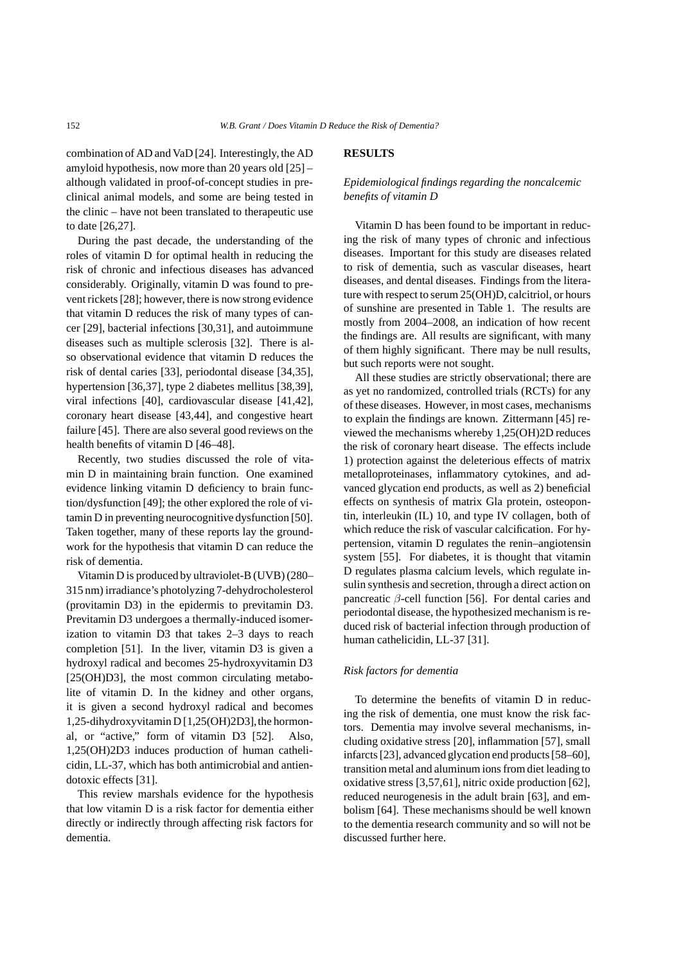combination of AD and VaD [24]. Interestingly, the AD amyloid hypothesis, now more than 20 years old [25] – although validated in proof-of-concept studies in preclinical animal models, and some are being tested in the clinic – have not been translated to therapeutic use to date [26,27].

During the past decade, the understanding of the roles of vitamin D for optimal health in reducing the risk of chronic and infectious diseases has advanced considerably. Originally, vitamin D was found to prevent rickets [28]; however, there is now strong evidence that vitamin D reduces the risk of many types of cancer [29], bacterial infections [30,31], and autoimmune diseases such as multiple sclerosis [32]. There is also observational evidence that vitamin D reduces the risk of dental caries [33], periodontal disease [34,35], hypertension [36,37], type 2 diabetes mellitus [38,39], viral infections [40], cardiovascular disease [41,42], coronary heart disease [43,44], and congestive heart failure [45]. There are also several good reviews on the health benefits of vitamin D [46–48].

Recently, two studies discussed the role of vitamin D in maintaining brain function. One examined evidence linking vitamin D deficiency to brain function/dysfunction [49]; the other explored the role of vitamin D in preventing neurocognitive dysfunction [50]. Taken together, many of these reports lay the groundwork for the hypothesis that vitamin D can reduce the risk of dementia.

Vitamin D is produced by ultraviolet-B (UVB) (280– 315 nm) irradiance's photolyzing 7-dehydrocholesterol (provitamin D3) in the epidermis to previtamin D3. Previtamin D3 undergoes a thermally-induced isomerization to vitamin D3 that takes 2–3 days to reach completion [51]. In the liver, vitamin D3 is given a hydroxyl radical and becomes 25-hydroxyvitamin D3 [25(OH)D3], the most common circulating metabolite of vitamin D. In the kidney and other organs, it is given a second hydroxyl radical and becomes 1,25-dihydroxyvitamin D [1,25(OH)2D3], the hormonal, or "active," form of vitamin D3 [52]. Also, 1,25(OH)2D3 induces production of human cathelicidin, LL-37, which has both antimicrobial and antiendotoxic effects [31].

This review marshals evidence for the hypothesis that low vitamin D is a risk factor for dementia either directly or indirectly through affecting risk factors for dementia.

## **RESULTS**

## *Epidemiological findings regarding the noncalcemic benefits of vitamin D*

Vitamin D has been found to be important in reducing the risk of many types of chronic and infectious diseases. Important for this study are diseases related to risk of dementia, such as vascular diseases, heart diseases, and dental diseases. Findings from the literature with respect to serum 25(OH)D, calcitriol, or hours of sunshine are presented in Table 1. The results are mostly from 2004–2008, an indication of how recent the findings are. All results are significant, with many of them highly significant. There may be null results, but such reports were not sought.

All these studies are strictly observational; there are as yet no randomized, controlled trials (RCTs) for any of these diseases. However, in most cases, mechanisms to explain the findings are known. Zittermann [45] reviewed the mechanisms whereby 1,25(OH)2D reduces the risk of coronary heart disease. The effects include 1) protection against the deleterious effects of matrix metalloproteinases, inflammatory cytokines, and advanced glycation end products, as well as 2) beneficial effects on synthesis of matrix Gla protein, osteopontin, interleukin (IL) 10, and type IV collagen, both of which reduce the risk of vascular calcification. For hypertension, vitamin D regulates the renin–angiotensin system [55]. For diabetes, it is thought that vitamin D regulates plasma calcium levels, which regulate insulin synthesis and secretion, through a direct action on pancreatic β-cell function [56]. For dental caries and periodontal disease, the hypothesized mechanism is reduced risk of bacterial infection through production of human cathelicidin, LL-37 [31].

## *Risk factors for dementia*

To determine the benefits of vitamin D in reducing the risk of dementia, one must know the risk factors. Dementia may involve several mechanisms, including oxidative stress [20], inflammation [57], small infarcts [23], advanced glycation end products [58–60], transition metal and aluminum ions from diet leading to oxidative stress [3,57,61], nitric oxide production [62], reduced neurogenesis in the adult brain [63], and embolism [64]. These mechanisms should be well known to the dementia research community and so will not be discussed further here.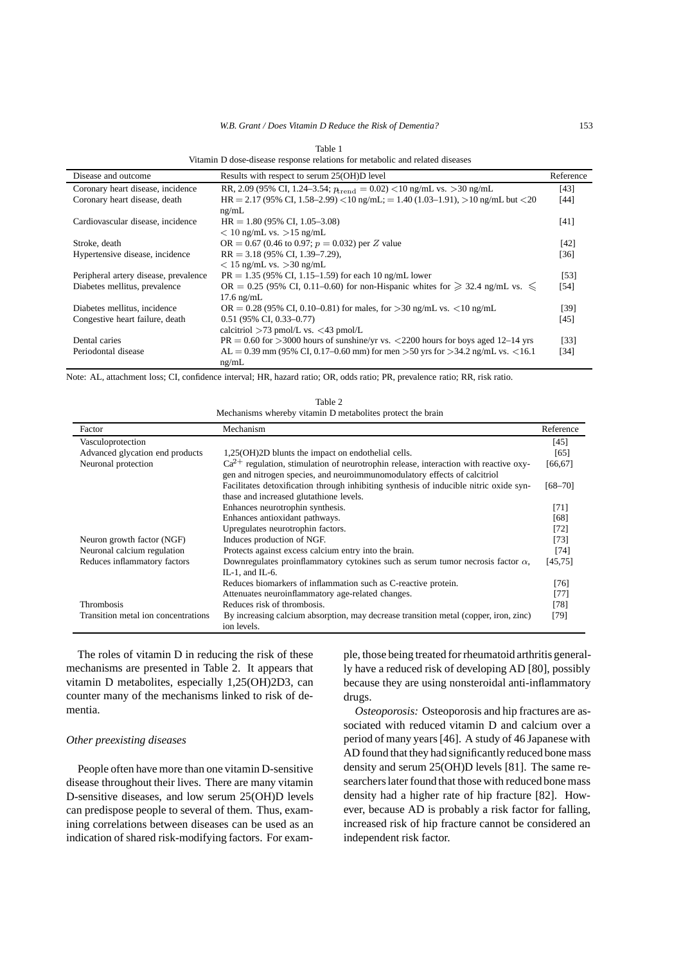#### *W.B. Grant / Does Vitamin D Reduce the Risk of Dementia?* 153

Table 1 Vitamin D dose-disease response relations for metabolic and related diseases

| Disease and outcome                   | Results with respect to serum 25(OH)D level                                            | Reference |
|---------------------------------------|----------------------------------------------------------------------------------------|-----------|
| Coronary heart disease, incidence     | RR, 2.09 (95% CI, 1.24–3.54; $p_{\text{trend}} = 0.02$ ) < 10 ng/mL vs. > 30 ng/mL     | [43]      |
| Coronary heart disease, death         | $HR = 2.17 (95\% CI, 1.58-2.99) < 10$ ng/mL; = 1.40 (1.03-1.91), > 10 ng/mL but < 20   | [44]      |
|                                       | ng/mL                                                                                  |           |
| Cardiovascular disease, incidence     | $HR = 1.80 (95\% CI, 1.05-3.08)$                                                       | [41]      |
|                                       | $< 10$ ng/mL vs. $> 15$ ng/mL                                                          |           |
| Stroke, death                         | OR = 0.67 (0.46 to 0.97; $p = 0.032$ ) per Z value                                     | [42]      |
| Hypertensive disease, incidence       | $RR = 3.18(95\% \text{ CI}, 1.39-7.29)$ ,                                              | $[36]$    |
|                                       | $< 15$ ng/mL vs. $> 30$ ng/mL                                                          |           |
| Peripheral artery disease, prevalence | $PR = 1.35$ (95% CI, 1.15–1.59) for each 10 ng/mL lower                                | [53]      |
| Diabetes mellitus, prevalence         | OR = 0.25 (95% CI, 0.11–0.60) for non-Hispanic whites for $\geq 32.4$ ng/mL vs. $\leq$ | [54]      |
|                                       | $17.6 \text{ ng/mL}$                                                                   |           |
| Diabetes mellitus, incidence          | $OR = 0.28$ (95% CI, 0.10–0.81) for males, for >30 ng/mL vs. <10 ng/mL                 | [39]      |
| Congestive heart failure, death       | $0.51$ (95% CI, 0.33-0.77)                                                             | [45]      |
|                                       | calcitriol $>73$ pmol/L vs. $<43$ pmol/L                                               |           |
| Dental caries                         | $PR = 0.60$ for >3000 hours of sunshine/yr vs. <2200 hours for boys aged 12–14 yrs     | [33]      |
| Periodontal disease                   | AL = 0.39 mm (95% CI, 0.17–0.60 mm) for men > 50 yrs for > 34.2 ng/mL vs. < 16.1       | [34]      |
|                                       | ng/mL                                                                                  |           |

Note: AL, attachment loss; CI, confidence interval; HR, hazard ratio; OR, odds ratio; PR, prevalence ratio; RR, risk ratio.

Table 2 Mechanisms whereby vitamin D metabolites protect the brain

| Factor                              | Mechanism                                                                                           | Reference   |
|-------------------------------------|-----------------------------------------------------------------------------------------------------|-------------|
| Vasculoprotection                   |                                                                                                     | [45]        |
| Advanced glycation end products     | 1,25(OH)2D blunts the impact on endothelial cells.                                                  | [65]        |
| Neuronal protection                 | $Ca^{2+}$ regulation, stimulation of neurotrophin release, interaction with reactive oxy-           | [66, 67]    |
|                                     | gen and nitrogen species, and neuroimmunomodulatory effects of calcitriol                           |             |
|                                     | Facilitates detoxification through inhibiting synthesis of inducible nitric oxide syn-              | $[68 - 70]$ |
|                                     | thase and increased glutathione levels.                                                             |             |
|                                     | Enhances neurotrophin synthesis.                                                                    | $[71]$      |
|                                     | Enhances antioxidant pathways.                                                                      | [68]        |
|                                     | Upregulates neurotrophin factors.                                                                   | [72]        |
| Neuron growth factor (NGF)          | Induces production of NGF.                                                                          | [73]        |
| Neuronal calcium regulation         | Protects against excess calcium entry into the brain.                                               | [74]        |
| Reduces inflammatory factors        | Downregulates proinflammatory cytokines such as serum tumor necrosis factor $\alpha$ ,              | [45, 75]    |
|                                     | IL-1. and IL-6.                                                                                     |             |
|                                     | Reduces biomarkers of inflammation such as C-reactive protein.                                      | [76]        |
|                                     | Attenuates neuroinflammatory age-related changes.                                                   | $[77]$      |
| <b>Thrombosis</b>                   | Reduces risk of thrombosis.                                                                         | [78]        |
| Transition metal ion concentrations | By increasing calcium absorption, may decrease transition metal (copper, iron, zinc)<br>ion levels. | [79]        |

The roles of vitamin D in reducing the risk of these mechanisms are presented in Table 2. It appears that vitamin D metabolites, especially 1,25(OH)2D3, can counter many of the mechanisms linked to risk of dementia.

## *Other preexisting diseases*

People often have more than one vitamin D-sensitive disease throughout their lives. There are many vitamin D-sensitive diseases, and low serum 25(OH)D levels can predispose people to several of them. Thus, examining correlations between diseases can be used as an indication of shared risk-modifying factors. For example, those being treated for rheumatoid arthritis generally have a reduced risk of developing AD [80], possibly because they are using nonsteroidal anti-inflammatory drugs.

*Osteoporosis:* Osteoporosis and hip fractures are associated with reduced vitamin D and calcium over a period of many years [46]. A study of 46 Japanese with AD found that they had significantly reduced bone mass density and serum 25(OH)D levels [81]. The same researchers later found that those with reduced bone mass density had a higher rate of hip fracture [82]. However, because AD is probably a risk factor for falling, increased risk of hip fracture cannot be considered an independent risk factor.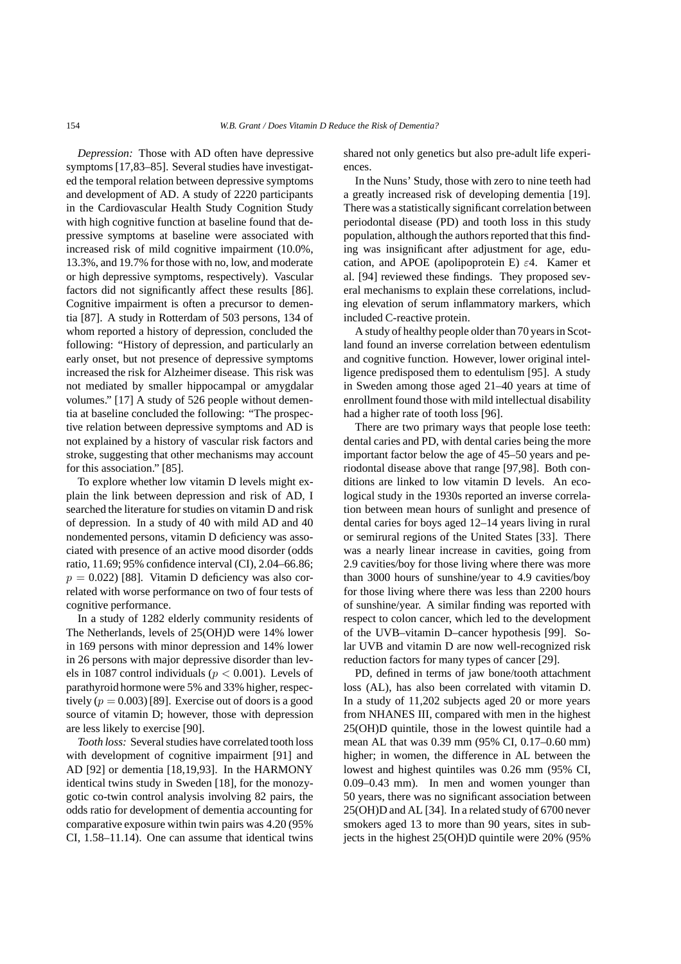*Depression:* Those with AD often have depressive symptoms [17,83–85]. Several studies have investigated the temporal relation between depressive symptoms and development of AD. A study of 2220 participants in the Cardiovascular Health Study Cognition Study with high cognitive function at baseline found that depressive symptoms at baseline were associated with increased risk of mild cognitive impairment (10.0%, 13.3%, and 19.7% for those with no, low, and moderate or high depressive symptoms, respectively). Vascular factors did not significantly affect these results [86]. Cognitive impairment is often a precursor to dementia [87]. A study in Rotterdam of 503 persons, 134 of whom reported a history of depression, concluded the following: "History of depression, and particularly an early onset, but not presence of depressive symptoms increased the risk for Alzheimer disease. This risk was not mediated by smaller hippocampal or amygdalar volumes." [17] A study of 526 people without dementia at baseline concluded the following: "The prospective relation between depressive symptoms and AD is not explained by a history of vascular risk factors and stroke, suggesting that other mechanisms may account for this association." [85].

To explore whether low vitamin D levels might explain the link between depression and risk of AD, I searched the literature for studies on vitamin D and risk of depression. In a study of 40 with mild AD and 40 nondemented persons, vitamin D deficiency was associated with presence of an active mood disorder (odds ratio, 11.69; 95% confidence interval (CI), 2.04–66.86;  $p = 0.022$ ) [88]. Vitamin D deficiency was also correlated with worse performance on two of four tests of cognitive performance.

In a study of 1282 elderly community residents of The Netherlands, levels of 25(OH)D were 14% lower in 169 persons with minor depression and 14% lower in 26 persons with major depressive disorder than levels in 1087 control individuals ( $p < 0.001$ ). Levels of parathyroid hormone were 5% and 33% higher, respectively  $(p = 0.003)$  [89]. Exercise out of doors is a good source of vitamin D; however, those with depression are less likely to exercise [90].

*Tooth loss:* Several studies have correlated tooth loss with development of cognitive impairment [91] and AD [92] or dementia [18,19,93]. In the HARMONY identical twins study in Sweden [18], for the monozygotic co-twin control analysis involving 82 pairs, the odds ratio for development of dementia accounting for comparative exposure within twin pairs was 4.20 (95% CI, 1.58–11.14). One can assume that identical twins shared not only genetics but also pre-adult life experiences.

In the Nuns' Study, those with zero to nine teeth had a greatly increased risk of developing dementia [19]. There was a statistically significant correlation between periodontal disease (PD) and tooth loss in this study population, although the authors reported that this finding was insignificant after adjustment for age, education, and APOE (apolipoprotein E)  $\varepsilon$ 4. Kamer et al. [94] reviewed these findings. They proposed several mechanisms to explain these correlations, including elevation of serum inflammatory markers, which included C-reactive protein.

A study of healthy people older than 70 years in Scotland found an inverse correlation between edentulism and cognitive function. However, lower original intelligence predisposed them to edentulism [95]. A study in Sweden among those aged 21–40 years at time of enrollment found those with mild intellectual disability had a higher rate of tooth loss [96].

There are two primary ways that people lose teeth: dental caries and PD, with dental caries being the more important factor below the age of 45–50 years and periodontal disease above that range [97,98]. Both conditions are linked to low vitamin D levels. An ecological study in the 1930s reported an inverse correlation between mean hours of sunlight and presence of dental caries for boys aged 12–14 years living in rural or semirural regions of the United States [33]. There was a nearly linear increase in cavities, going from 2.9 cavities/boy for those living where there was more than 3000 hours of sunshine/year to 4.9 cavities/boy for those living where there was less than 2200 hours of sunshine/year. A similar finding was reported with respect to colon cancer, which led to the development of the UVB–vitamin D–cancer hypothesis [99]. Solar UVB and vitamin D are now well-recognized risk reduction factors for many types of cancer [29].

PD, defined in terms of jaw bone/tooth attachment loss (AL), has also been correlated with vitamin D. In a study of 11,202 subjects aged 20 or more years from NHANES III, compared with men in the highest 25(OH)D quintile, those in the lowest quintile had a mean AL that was 0.39 mm (95% CI, 0.17–0.60 mm) higher; in women, the difference in AL between the lowest and highest quintiles was 0.26 mm (95% CI, 0.09–0.43 mm). In men and women younger than 50 years, there was no significant association between 25(OH)D and AL [34]. In a related study of 6700 never smokers aged 13 to more than 90 years, sites in subjects in the highest 25(OH)D quintile were 20% (95%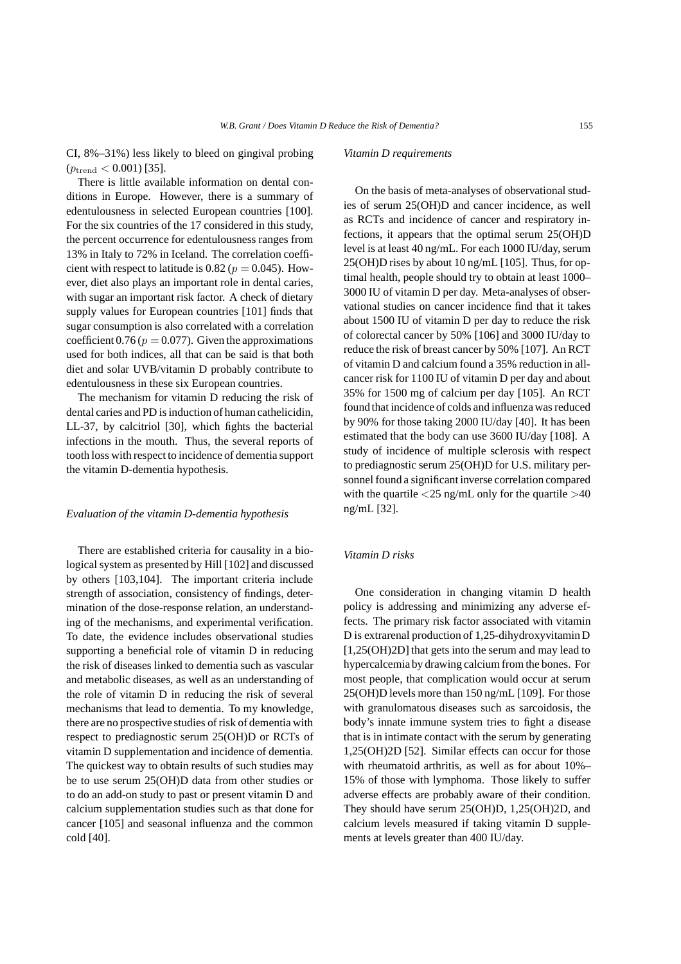CI, 8%–31%) less likely to bleed on gingival probing  $(p_{\text{trend}} < 0.001)$  [35].

There is little available information on dental conditions in Europe. However, there is a summary of edentulousness in selected European countries [100]. For the six countries of the 17 considered in this study, the percent occurrence for edentulousness ranges from 13% in Italy to 72% in Iceland. The correlation coefficient with respect to latitude is 0.82 ( $p = 0.045$ ). However, diet also plays an important role in dental caries, with sugar an important risk factor. A check of dietary supply values for European countries [101] finds that sugar consumption is also correlated with a correlation coefficient  $0.76 (p = 0.077)$ . Given the approximations used for both indices, all that can be said is that both diet and solar UVB/vitamin D probably contribute to edentulousness in these six European countries.

The mechanism for vitamin D reducing the risk of dental caries and PD is induction of human cathelicidin, LL-37, by calcitriol [30], which fights the bacterial infections in the mouth. Thus, the several reports of tooth loss with respect to incidence of dementia support the vitamin D-dementia hypothesis.

#### *Evaluation of the vitamin D-dementia hypothesis*

There are established criteria for causality in a biological system as presented by Hill [102] and discussed by others [103,104]. The important criteria include strength of association, consistency of findings, determination of the dose-response relation, an understanding of the mechanisms, and experimental verification. To date, the evidence includes observational studies supporting a beneficial role of vitamin D in reducing the risk of diseases linked to dementia such as vascular and metabolic diseases, as well as an understanding of the role of vitamin D in reducing the risk of several mechanisms that lead to dementia. To my knowledge, there are no prospective studies of risk of dementia with respect to prediagnostic serum 25(OH)D or RCTs of vitamin D supplementation and incidence of dementia. The quickest way to obtain results of such studies may be to use serum 25(OH)D data from other studies or to do an add-on study to past or present vitamin D and calcium supplementation studies such as that done for cancer [105] and seasonal influenza and the common cold [40].

#### *Vitamin D requirements*

On the basis of meta-analyses of observational studies of serum 25(OH)D and cancer incidence, as well as RCTs and incidence of cancer and respiratory infections, it appears that the optimal serum 25(OH)D level is at least 40 ng/mL. For each 1000 IU/day, serum 25(OH)D rises by about 10 ng/mL [105]. Thus, for optimal health, people should try to obtain at least 1000– 3000 IU of vitamin D per day. Meta-analyses of observational studies on cancer incidence find that it takes about 1500 IU of vitamin D per day to reduce the risk of colorectal cancer by 50% [106] and 3000 IU/day to reduce the risk of breast cancer by 50% [107]. An RCT of vitamin D and calcium found a 35% reduction in allcancer risk for 1100 IU of vitamin D per day and about 35% for 1500 mg of calcium per day [105]. An RCT found that incidence of colds and influenza was reduced by 90% for those taking 2000 IU/day [40]. It has been estimated that the body can use 3600 IU/day [108]. A study of incidence of multiple sclerosis with respect to prediagnostic serum 25(OH)D for U.S. military personnel found a significant inverse correlation compared with the quartile  $\langle 25 \text{ ng/mL}$  only for the quartile  $>40$ ng/mL [32].

#### *Vitamin D risks*

One consideration in changing vitamin D health policy is addressing and minimizing any adverse effects. The primary risk factor associated with vitamin D is extrarenal production of 1,25-dihydroxyvitamin D [1,25(OH)2D] that gets into the serum and may lead to hypercalcemia by drawing calcium from the bones. For most people, that complication would occur at serum 25(OH)D levels more than 150 ng/mL [109]. For those with granulomatous diseases such as sarcoidosis, the body's innate immune system tries to fight a disease that is in intimate contact with the serum by generating 1,25(OH)2D [52]. Similar effects can occur for those with rheumatoid arthritis, as well as for about 10%– 15% of those with lymphoma. Those likely to suffer adverse effects are probably aware of their condition. They should have serum 25(OH)D, 1,25(OH)2D, and calcium levels measured if taking vitamin D supplements at levels greater than 400 IU/day.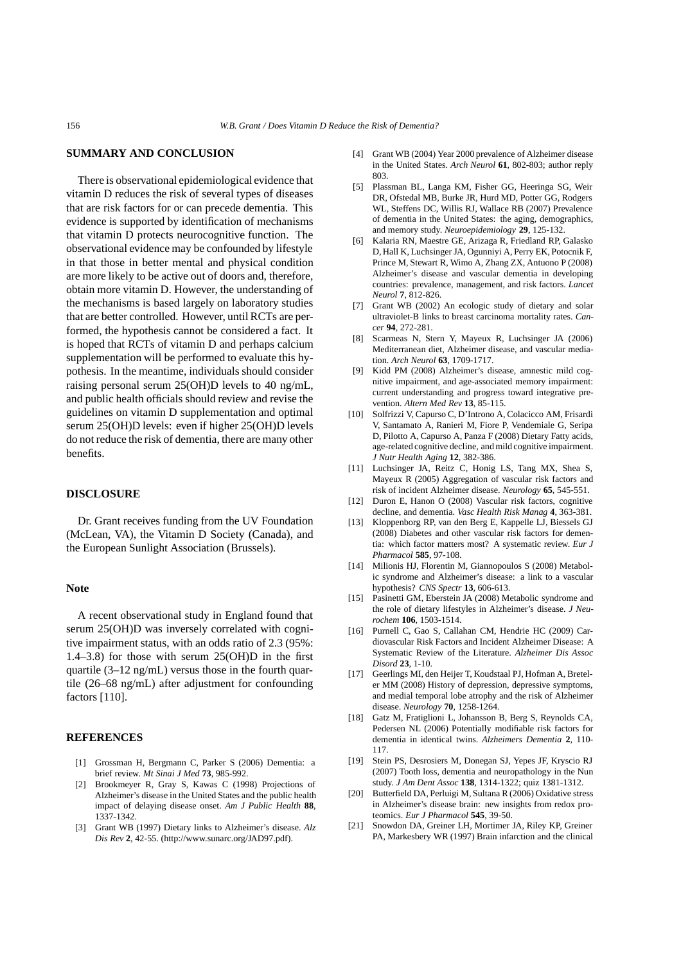#### **SUMMARY AND CONCLUSION**

There is observational epidemiological evidence that vitamin D reduces the risk of several types of diseases that are risk factors for or can precede dementia. This evidence is supported by identification of mechanisms that vitamin D protects neurocognitive function. The observational evidence may be confounded by lifestyle in that those in better mental and physical condition are more likely to be active out of doors and, therefore, obtain more vitamin D. However, the understanding of the mechanisms is based largely on laboratory studies that are better controlled. However, until RCTs are performed, the hypothesis cannot be considered a fact. It is hoped that RCTs of vitamin D and perhaps calcium supplementation will be performed to evaluate this hypothesis. In the meantime, individuals should consider raising personal serum 25(OH)D levels to 40 ng/mL, and public health officials should review and revise the guidelines on vitamin D supplementation and optimal serum 25(OH)D levels: even if higher 25(OH)D levels do not reduce the risk of dementia, there are many other benefits.

#### **DISCLOSURE**

Dr. Grant receives funding from the UV Foundation (McLean, VA), the Vitamin D Society (Canada), and the European Sunlight Association (Brussels).

#### **Note**

A recent observational study in England found that serum 25(OH)D was inversely correlated with cognitive impairment status, with an odds ratio of 2.3 (95%: 1.4–3.8) for those with serum 25(OH)D in the first quartile (3–12 ng/mL) versus those in the fourth quartile (26–68 ng/mL) after adjustment for confounding factors [110].

#### **REFERENCES**

- [1] Grossman H, Bergmann C, Parker S (2006) Dementia: a brief review. *Mt Sinai J Med* **73**, 985-992.
- [2] Brookmeyer R, Gray S, Kawas C (1998) Projections of Alzheimer's disease in the United States and the public health impact of delaying disease onset. *Am J Public Health* **88**, 1337-1342.
- [3] Grant WB (1997) Dietary links to Alzheimer's disease. *Alz Dis Rev* **2**, 42-55. (http://www.sunarc.org/JAD97.pdf).
- [4] Grant WB (2004) Year 2000 prevalence of Alzheimer disease in the United States. *Arch Neurol* **61**, 802-803; author reply 803.
- [5] Plassman BL, Langa KM, Fisher GG, Heeringa SG, Weir DR, Ofstedal MB, Burke JR, Hurd MD, Potter GG, Rodgers WL, Steffens DC, Willis RJ, Wallace RB (2007) Prevalence of dementia in the United States: the aging, demographics, and memory study. *Neuroepidemiology* **29**, 125-132.
- [6] Kalaria RN, Maestre GE, Arizaga R, Friedland RP, Galasko D, Hall K, Luchsinger JA, Ogunniyi A, Perry EK, Potocnik F, Prince M, Stewart R, Wimo A, Zhang ZX, Antuono P (2008) Alzheimer's disease and vascular dementia in developing countries: prevalence, management, and risk factors. *Lancet Neurol* **7**, 812-826.
- [7] Grant WB (2002) An ecologic study of dietary and solar ultraviolet-B links to breast carcinoma mortality rates. *Cancer* **94**, 272-281.
- [8] Scarmeas N, Stern Y, Mayeux R, Luchsinger JA (2006) Mediterranean diet, Alzheimer disease, and vascular mediation. *Arch Neurol* **63**, 1709-1717.
- [9] Kidd PM (2008) Alzheimer's disease, amnestic mild cognitive impairment, and age-associated memory impairment: current understanding and progress toward integrative prevention. *Altern Med Rev* **13**, 85-115.
- [10] Solfrizzi V, Capurso C, D'Introno A, Colacicco AM, Frisardi V, Santamato A, Ranieri M, Fiore P, Vendemiale G, Seripa D, Pilotto A, Capurso A, Panza F (2008) Dietary Fatty acids, age-related cognitive decline, and mild cognitive impairment. *J Nutr Health Aging* **12**, 382-386.
- [11] Luchsinger JA, Reitz C, Honig LS, Tang MX, Shea S, Mayeux R (2005) Aggregation of vascular risk factors and risk of incident Alzheimer disease. *Neurology* **65**, 545-551.
- [12] Duron E, Hanon O (2008) Vascular risk factors, cognitive decline, and dementia. *Vasc Health Risk Manag* **4**, 363-381.
- [13] Kloppenborg RP, van den Berg E, Kappelle LJ, Biessels GJ (2008) Diabetes and other vascular risk factors for dementia: which factor matters most? A systematic review. *Eur J Pharmacol* **585**, 97-108.
- [14] Milionis HJ, Florentin M, Giannopoulos S (2008) Metabolic syndrome and Alzheimer's disease: a link to a vascular hypothesis? *CNS Spectr* **13**, 606-613.
- [15] Pasinetti GM, Eberstein JA (2008) Metabolic syndrome and the role of dietary lifestyles in Alzheimer's disease. *J Neurochem* **106**, 1503-1514.
- [16] Purnell C, Gao S, Callahan CM, Hendrie HC (2009) Cardiovascular Risk Factors and Incident Alzheimer Disease: A Systematic Review of the Literature. *Alzheimer Dis Assoc Disord* **23**, 1-10.
- [17] Geerlings MI, den Heijer T, Koudstaal PJ, Hofman A, Breteler MM (2008) History of depression, depressive symptoms, and medial temporal lobe atrophy and the risk of Alzheimer disease. *Neurology* **70**, 1258-1264.
- [18] Gatz M, Fratiglioni L, Johansson B, Berg S, Reynolds CA, Pedersen NL (2006) Potentially modifiable risk factors for dementia in identical twins. *Alzheimers Dementia* **2**, 110- 117.
- [19] Stein PS, Desrosiers M, Donegan SJ, Yepes JF, Kryscio RJ (2007) Tooth loss, dementia and neuropathology in the Nun study. *J Am Dent Assoc* **138**, 1314-1322; quiz 1381-1312.
- [20] Butterfield DA, Perluigi M, Sultana R (2006) Oxidative stress in Alzheimer's disease brain: new insights from redox proteomics. *Eur J Pharmacol* **545**, 39-50.
- [21] Snowdon DA, Greiner LH, Mortimer JA, Riley KP, Greiner PA, Markesbery WR (1997) Brain infarction and the clinical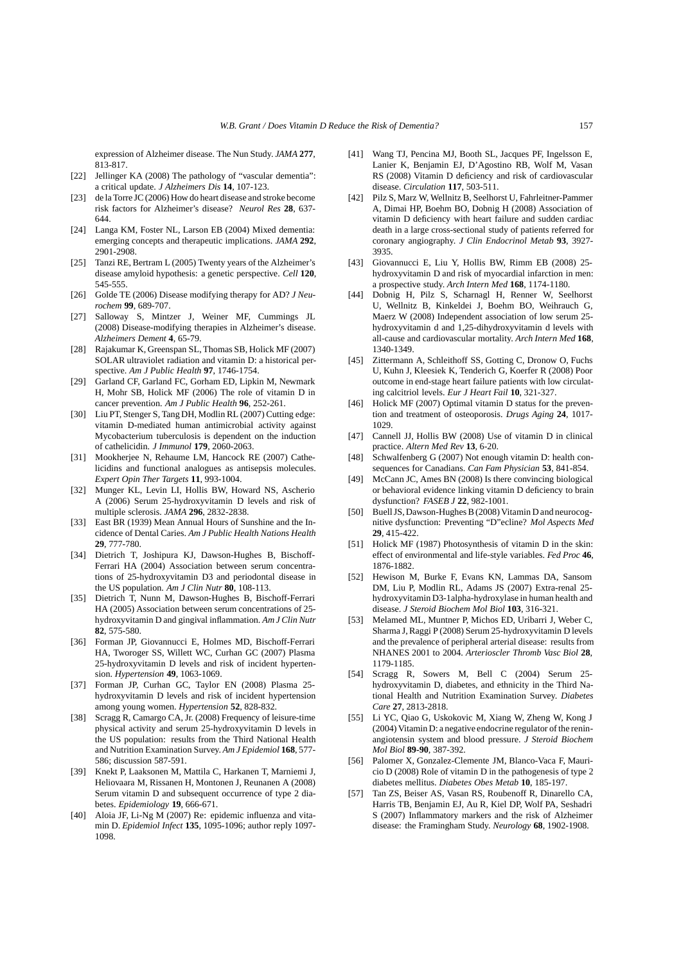expression of Alzheimer disease. The Nun Study. *JAMA* **277**, 813-817.

- [22] Jellinger KA (2008) The pathology of "vascular dementia": a critical update. *J Alzheimers Dis* **14**, 107-123.
- [23] de la Torre JC (2006) How do heart disease and stroke become risk factors for Alzheimer's disease? *Neurol Res* **28**, 637- 644.
- [24] Langa KM, Foster NL, Larson EB (2004) Mixed dementia: emerging concepts and therapeutic implications. *JAMA* **292**, 2901-2908.
- [25] Tanzi RE, Bertram L (2005) Twenty years of the Alzheimer's disease amyloid hypothesis: a genetic perspective. *Cell* **120**, 545-555.
- [26] Golde TE (2006) Disease modifying therapy for AD? *J Neurochem* **99**, 689-707.
- [27] Salloway S, Mintzer J, Weiner MF, Cummings JL (2008) Disease-modifying therapies in Alzheimer's disease. *Alzheimers Dement* **4**, 65-79.
- [28] Rajakumar K, Greenspan SL, Thomas SB, Holick MF (2007) SOLAR ultraviolet radiation and vitamin D: a historical perspective. *Am J Public Health* **97**, 1746-1754.
- [29] Garland CF, Garland FC, Gorham ED, Lipkin M, Newmark H, Mohr SB, Holick MF (2006) The role of vitamin D in cancer prevention. *Am J Public Health* **96**, 252-261.
- [30] Liu PT, Stenger S, Tang DH, Modlin RL (2007) Cutting edge: vitamin D-mediated human antimicrobial activity against Mycobacterium tuberculosis is dependent on the induction of cathelicidin. *J Immunol* **179**, 2060-2063.
- [31] Mookherjee N, Rehaume LM, Hancock RE (2007) Cathelicidins and functional analogues as antisepsis molecules. *Expert Opin Ther Targets* **11**, 993-1004.
- [32] Munger KL, Levin LI, Hollis BW, Howard NS, Ascherio A (2006) Serum 25-hydroxyvitamin D levels and risk of multiple sclerosis. *JAMA* **296**, 2832-2838.
- [33] East BR (1939) Mean Annual Hours of Sunshine and the Incidence of Dental Caries. *Am J Public Health Nations Health* **29**, 777-780.
- [34] Dietrich T, Joshipura KJ, Dawson-Hughes B, Bischoff-Ferrari HA (2004) Association between serum concentrations of 25-hydroxyvitamin D3 and periodontal disease in the US population. *Am J Clin Nutr* **80**, 108-113.
- [35] Dietrich T, Nunn M, Dawson-Hughes B, Bischoff-Ferrari HA (2005) Association between serum concentrations of 25 hydroxyvitamin D and gingival inflammation. *Am J Clin Nutr* **82**, 575-580.
- [36] Forman JP, Giovannucci E, Holmes MD, Bischoff-Ferrari HA, Tworoger SS, Willett WC, Curhan GC (2007) Plasma 25-hydroxyvitamin D levels and risk of incident hypertension. *Hypertension* **49**, 1063-1069.
- [37] Forman JP, Curhan GC, Taylor EN (2008) Plasma 25 hydroxyvitamin D levels and risk of incident hypertension among young women. *Hypertension* **52**, 828-832.
- [38] Scragg R, Camargo CA, Jr. (2008) Frequency of leisure-time physical activity and serum 25-hydroxyvitamin D levels in the US population: results from the Third National Health and Nutrition Examination Survey. *Am J Epidemiol* **168**, 577- 586; discussion 587-591.
- [39] Knekt P, Laaksonen M, Mattila C, Harkanen T, Marniemi J, Heliovaara M, Rissanen H, Montonen J, Reunanen A (2008) Serum vitamin D and subsequent occurrence of type 2 diabetes. *Epidemiology* **19**, 666-671.
- [40] Aloia JF, Li-Ng M (2007) Re: epidemic influenza and vitamin D. *Epidemiol Infect* **135**, 1095-1096; author reply 1097- 1098.
- [41] Wang TJ, Pencina MJ, Booth SL, Jacques PF, Ingelsson E, Lanier K, Benjamin EJ, D'Agostino RB, Wolf M, Vasan RS (2008) Vitamin D deficiency and risk of cardiovascular disease. *Circulation* **117**, 503-511.
- [42] Pilz S, Marz W, Wellnitz B, Seelhorst U, Fahrleitner-Pammer A, Dimai HP, Boehm BO, Dobnig H (2008) Association of vitamin D deficiency with heart failure and sudden cardiac death in a large cross-sectional study of patients referred for coronary angiography. *J Clin Endocrinol Metab* **93**, 3927- 3935.
- [43] Giovannucci E, Liu Y, Hollis BW, Rimm EB (2008) 25 hydroxyvitamin D and risk of myocardial infarction in men: a prospective study. *Arch Intern Med* **168**, 1174-1180.
- [44] Dobnig H, Pilz S, Scharnagl H, Renner W, Seelhorst U, Wellnitz B, Kinkeldei J, Boehm BO, Weihrauch G, Maerz W (2008) Independent association of low serum 25 hydroxyvitamin d and 1,25-dihydroxyvitamin d levels with all-cause and cardiovascular mortality. *Arch Intern Med* **168**, 1340-1349.
- [45] Zittermann A, Schleithoff SS, Gotting C, Dronow O, Fuchs U, Kuhn J, Kleesiek K, Tenderich G, Koerfer R (2008) Poor outcome in end-stage heart failure patients with low circulating calcitriol levels. *Eur J Heart Fail* **10**, 321-327.
- [46] Holick MF (2007) Optimal vitamin D status for the prevention and treatment of osteoporosis. *Drugs Aging* **24**, 1017- 1029.
- [47] Cannell JJ, Hollis BW (2008) Use of vitamin D in clinical practice. *Altern Med Rev* **13**, 6-20.
- [48] Schwalfenberg G (2007) Not enough vitamin D: health consequences for Canadians. *Can Fam Physician* **53**, 841-854.
- [49] McCann JC, Ames BN (2008) Is there convincing biological or behavioral evidence linking vitamin D deficiency to brain dysfunction? *FASEB J* **22**, 982-1001.
- [50] Buell JS, Dawson-Hughes B (2008) Vitamin D and neurocognitive dysfunction: Preventing "D"ecline? *Mol Aspects Med* **29**, 415-422.
- [51] Holick MF (1987) Photosynthesis of vitamin D in the skin: effect of environmental and life-style variables. *Fed Proc* **46**, 1876-1882.
- [52] Hewison M, Burke F, Evans KN, Lammas DA, Sansom DM, Liu P, Modlin RL, Adams JS (2007) Extra-renal 25 hydroxyvitamin D3-1alpha-hydroxylase in human health and disease. *J Steroid Biochem Mol Biol* **103**, 316-321.
- [53] Melamed ML, Muntner P, Michos ED, Uribarri J, Weber C, Sharma J, Raggi P (2008) Serum 25-hydroxyvitamin D levels and the prevalence of peripheral arterial disease: results from NHANES 2001 to 2004. *Arterioscler Thromb Vasc Biol* **28**, 1179-1185.
- [54] Scragg R, Sowers M, Bell C (2004) Serum 25 hydroxyvitamin D, diabetes, and ethnicity in the Third National Health and Nutrition Examination Survey. *Diabetes Care* **27**, 2813-2818.
- [55] Li YC, Qiao G, Uskokovic M, Xiang W, Zheng W, Kong J (2004) Vitamin D: a negative endocrine regulator of the reninangiotensin system and blood pressure. *J Steroid Biochem Mol Biol* **89-90**, 387-392.
- [56] Palomer X, Gonzalez-Clemente JM, Blanco-Vaca F, Mauricio D (2008) Role of vitamin D in the pathogenesis of type 2 diabetes mellitus. *Diabetes Obes Metab* **10**, 185-197.
- [57] Tan ZS, Beiser AS, Vasan RS, Roubenoff R, Dinarello CA, Harris TB, Benjamin EJ, Au R, Kiel DP, Wolf PA, Seshadri S (2007) Inflammatory markers and the risk of Alzheimer disease: the Framingham Study. *Neurology* **68**, 1902-1908.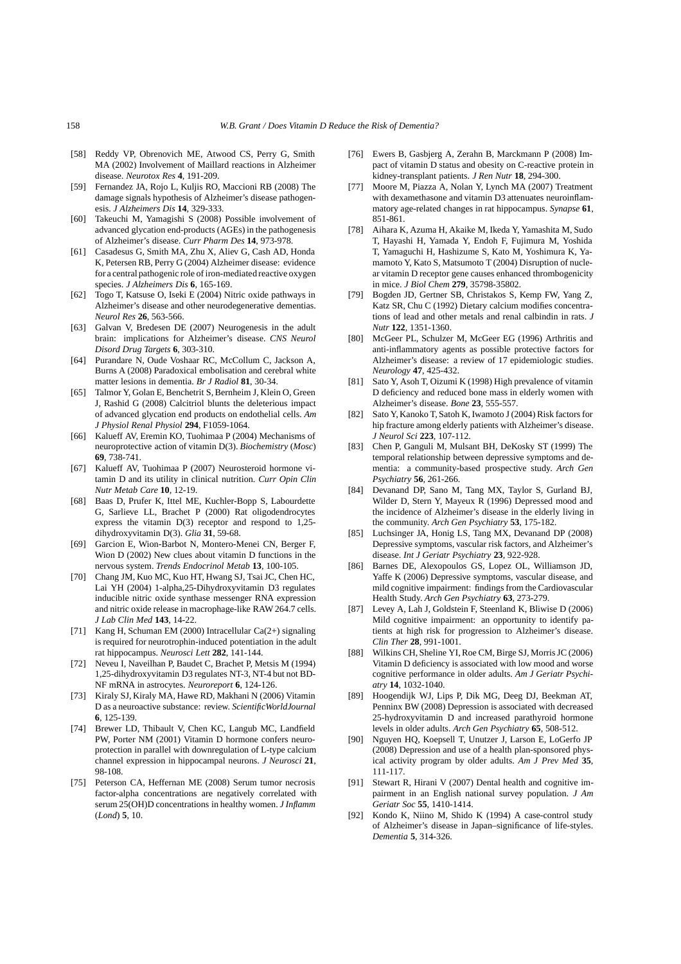- [58] Reddy VP, Obrenovich ME, Atwood CS, Perry G, Smith MA (2002) Involvement of Maillard reactions in Alzheimer disease. *Neurotox Res* **4**, 191-209.
- [59] Fernandez JA, Rojo L, Kuljis RO, Maccioni RB (2008) The damage signals hypothesis of Alzheimer's disease pathogenesis. *J Alzheimers Dis* **14**, 329-333.
- [60] Takeuchi M, Yamagishi S (2008) Possible involvement of advanced glycation end-products (AGEs) in the pathogenesis of Alzheimer's disease. *Curr Pharm Des* **14**, 973-978.
- [61] Casadesus G, Smith MA, Zhu X, Aliev G, Cash AD, Honda K, Petersen RB, Perry G (2004) Alzheimer disease: evidence for a central pathogenic role of iron-mediated reactive oxygen species. *J Alzheimers Dis* **6**, 165-169.
- [62] Togo T, Katsuse O, Iseki E (2004) Nitric oxide pathways in Alzheimer's disease and other neurodegenerative dementias. *Neurol Res* **26**, 563-566.
- [63] Galvan V, Bredesen DE (2007) Neurogenesis in the adult brain: implications for Alzheimer's disease. *CNS Neurol Disord Drug Targets* **6**, 303-310.
- [64] Purandare N, Oude Voshaar RC, McCollum C, Jackson A, Burns A (2008) Paradoxical embolisation and cerebral white matter lesions in dementia. *Br J Radiol* **81**, 30-34.
- [65] Talmor Y, Golan E, Benchetrit S, Bernheim J, Klein O, Green J, Rashid G (2008) Calcitriol blunts the deleterious impact of advanced glycation end products on endothelial cells. *Am J Physiol Renal Physiol* **294**, F1059-1064.
- [66] Kalueff AV, Eremin KO, Tuohimaa P (2004) Mechanisms of neuroprotective action of vitamin D(3). *Biochemistry* (*Mosc*) **69**, 738-741.
- [67] Kalueff AV, Tuohimaa P (2007) Neurosteroid hormone vitamin D and its utility in clinical nutrition. *Curr Opin Clin Nutr Metab Care* **10**, 12-19.
- [68] Baas D, Prufer K, Ittel ME, Kuchler-Bopp S, Labourdette G, Sarlieve LL, Brachet P (2000) Rat oligodendrocytes express the vitamin D(3) receptor and respond to 1,25 dihydroxyvitamin D(3). *Glia* **31**, 59-68.
- [69] Garcion E, Wion-Barbot N, Montero-Menei CN, Berger F, Wion D (2002) New clues about vitamin D functions in the nervous system. *Trends Endocrinol Metab* **13**, 100-105.
- [70] Chang JM, Kuo MC, Kuo HT, Hwang SJ, Tsai JC, Chen HC, Lai YH (2004) 1-alpha,25-Dihydroxyvitamin D3 regulates inducible nitric oxide synthase messenger RNA expression and nitric oxide release in macrophage-like RAW 264.7 cells. *J Lab Clin Med* **143**, 14-22.
- [71] Kang H, Schuman EM (2000) Intracellular Ca(2+) signaling is required for neurotrophin-induced potentiation in the adult rat hippocampus. *Neurosci Lett* **282**, 141-144.
- [72] Neveu I, Naveilhan P, Baudet C, Brachet P, Metsis M (1994) 1,25-dihydroxyvitamin D3 regulates NT-3, NT-4 but not BD-NF mRNA in astrocytes. *Neuroreport* **6**, 124-126.
- [73] Kiraly SJ, Kiraly MA, Hawe RD, Makhani N (2006) Vitamin D as a neuroactive substance: review. *ScientificWorldJournal* **6**, 125-139.
- [74] Brewer LD, Thibault V, Chen KC, Langub MC, Landfield PW, Porter NM (2001) Vitamin D hormone confers neuroprotection in parallel with downregulation of L-type calcium channel expression in hippocampal neurons. *J Neurosci* **21**, 98-108.
- [75] Peterson CA, Heffernan ME (2008) Serum tumor necrosis factor-alpha concentrations are negatively correlated with serum 25(OH)D concentrations in healthy women. *J Inflamm* (*Lond*) **5**, 10.
- [76] Ewers B, Gasbjerg A, Zerahn B, Marckmann P (2008) Impact of vitamin D status and obesity on C-reactive protein in kidney-transplant patients. *J Ren Nutr* **18**, 294-300.
- [77] Moore M, Piazza A, Nolan Y, Lynch MA (2007) Treatment with dexamethasone and vitamin D3 attenuates neuroinflammatory age-related changes in rat hippocampus. *Synapse* **61**, 851-861.
- [78] Aihara K, Azuma H, Akaike M, Ikeda Y, Yamashita M, Sudo T, Hayashi H, Yamada Y, Endoh F, Fujimura M, Yoshida T, Yamaguchi H, Hashizume S, Kato M, Yoshimura K, Yamamoto Y, Kato S, Matsumoto T (2004) Disruption of nuclear vitamin D receptor gene causes enhanced thrombogenicity in mice. *J Biol Chem* **279**, 35798-35802.
- [79] Bogden JD, Gertner SB, Christakos S, Kemp FW, Yang Z, Katz SR, Chu C (1992) Dietary calcium modifies concentrations of lead and other metals and renal calbindin in rats. *J Nutr* **122**, 1351-1360.
- [80] McGeer PL, Schulzer M, McGeer EG (1996) Arthritis and anti-inflammatory agents as possible protective factors for Alzheimer's disease: a review of 17 epidemiologic studies. *Neurology* **47**, 425-432.
- [81] Sato Y, Asoh T, Oizumi K (1998) High prevalence of vitamin D deficiency and reduced bone mass in elderly women with Alzheimer's disease. *Bone* **23**, 555-557.
- [82] Sato Y, Kanoko T, Satoh K, Iwamoto J (2004) Risk factors for hip fracture among elderly patients with Alzheimer's disease. *J Neurol Sci* **223**, 107-112.
- [83] Chen P, Ganguli M, Mulsant BH, DeKosky ST (1999) The temporal relationship between depressive symptoms and dementia: a community-based prospective study. *Arch Gen Psychiatry* **56**, 261-266.
- [84] Devanand DP, Sano M, Tang MX, Taylor S, Gurland BJ, Wilder D, Stern Y, Mayeux R (1996) Depressed mood and the incidence of Alzheimer's disease in the elderly living in the community. *Arch Gen Psychiatry* **53**, 175-182.
- [85] Luchsinger JA, Honig LS, Tang MX, Devanand DP (2008) Depressive symptoms, vascular risk factors, and Alzheimer's disease. *Int J Geriatr Psychiatry* **23**, 922-928.
- [86] Barnes DE, Alexopoulos GS, Lopez OL, Williamson JD, Yaffe K (2006) Depressive symptoms, vascular disease, and mild cognitive impairment: findings from the Cardiovascular Health Study. *Arch Gen Psychiatry* **63**, 273-279.
- [87] Levey A, Lah J, Goldstein F, Steenland K, Bliwise D (2006) Mild cognitive impairment: an opportunity to identify patients at high risk for progression to Alzheimer's disease. *Clin Ther* **28**, 991-1001.
- [88] Wilkins CH, Sheline YI, Roe CM, Birge SJ, Morris JC (2006) Vitamin D deficiency is associated with low mood and worse cognitive performance in older adults. *Am J Geriatr Psychiatry* **14**, 1032-1040.
- [89] Hoogendijk WJ, Lips P, Dik MG, Deeg DJ, Beekman AT, Penninx BW (2008) Depression is associated with decreased 25-hydroxyvitamin D and increased parathyroid hormone levels in older adults. *Arch Gen Psychiatry* **65**, 508-512.
- [90] Nguyen HQ, Koepsell T, Unutzer J, Larson E, LoGerfo JP (2008) Depression and use of a health plan-sponsored physical activity program by older adults. *Am J Prev Med* **35**, 111-117.
- [91] Stewart R, Hirani V (2007) Dental health and cognitive impairment in an English national survey population. *J Am Geriatr Soc* **55**, 1410-1414.
- [92] Kondo K, Niino M, Shido K (1994) A case-control study of Alzheimer's disease in Japan–significance of life-styles. *Dementia* **5**, 314-326.